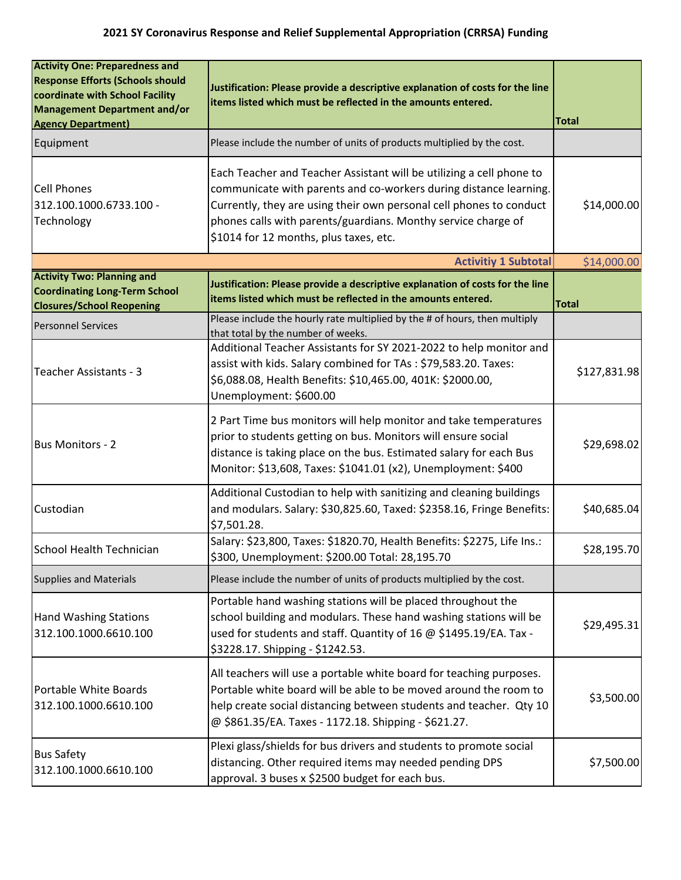| <b>Activity One: Preparedness and</b><br><b>Response Efforts (Schools should</b><br>coordinate with School Facility<br><b>Management Department and/or</b><br><b>Agency Department)</b> | Justification: Please provide a descriptive explanation of costs for the line<br>items listed which must be reflected in the amounts entered.                                                                                                                                                                               | <b>Total</b> |
|-----------------------------------------------------------------------------------------------------------------------------------------------------------------------------------------|-----------------------------------------------------------------------------------------------------------------------------------------------------------------------------------------------------------------------------------------------------------------------------------------------------------------------------|--------------|
| Equipment                                                                                                                                                                               | Please include the number of units of products multiplied by the cost.                                                                                                                                                                                                                                                      |              |
| <b>Cell Phones</b><br>312.100.1000.6733.100 -<br>Technology                                                                                                                             | Each Teacher and Teacher Assistant will be utilizing a cell phone to<br>communicate with parents and co-workers during distance learning.<br>Currently, they are using their own personal cell phones to conduct<br>phones calls with parents/guardians. Monthy service charge of<br>\$1014 for 12 months, plus taxes, etc. | \$14,000.00  |
| <b>Activitiy 1 Subtotal</b><br>\$14,000.00                                                                                                                                              |                                                                                                                                                                                                                                                                                                                             |              |
| <b>Activity Two: Planning and</b><br><b>Coordinating Long-Term School</b><br><b>Closures/School Reopening</b>                                                                           | Justification: Please provide a descriptive explanation of costs for the line<br>items listed which must be reflected in the amounts entered.                                                                                                                                                                               | <b>Total</b> |
| <b>Personnel Services</b>                                                                                                                                                               | Please include the hourly rate multiplied by the # of hours, then multiply<br>that total by the number of weeks.                                                                                                                                                                                                            |              |
| Teacher Assistants - 3                                                                                                                                                                  | Additional Teacher Assistants for SY 2021-2022 to help monitor and<br>assist with kids. Salary combined for TAs: \$79,583.20. Taxes:<br>\$6,088.08, Health Benefits: \$10,465.00, 401K: \$2000.00,<br>Unemployment: \$600.00                                                                                                | \$127,831.98 |
| <b>Bus Monitors - 2</b>                                                                                                                                                                 | 2 Part Time bus monitors will help monitor and take temperatures<br>prior to students getting on bus. Monitors will ensure social<br>distance is taking place on the bus. Estimated salary for each Bus<br>Monitor: \$13,608, Taxes: \$1041.01 (x2), Unemployment: \$400                                                    | \$29,698.02  |
| Custodian                                                                                                                                                                               | Additional Custodian to help with sanitizing and cleaning buildings<br>and modulars. Salary: \$30,825.60, Taxed: \$2358.16, Fringe Benefits:<br>\$7,501.28.                                                                                                                                                                 | \$40,685.04] |
| School Health Technician                                                                                                                                                                | Salary: \$23,800, Taxes: \$1820.70, Health Benefits: \$2275, Life Ins.:<br>\$300, Unemployment: \$200.00 Total: 28,195.70                                                                                                                                                                                                   | \$28,195.70  |
| <b>Supplies and Materials</b>                                                                                                                                                           | Please include the number of units of products multiplied by the cost.                                                                                                                                                                                                                                                      |              |
| <b>Hand Washing Stations</b><br>312.100.1000.6610.100                                                                                                                                   | Portable hand washing stations will be placed throughout the<br>school building and modulars. These hand washing stations will be<br>used for students and staff. Quantity of 16 @ \$1495.19/EA. Tax -<br>\$3228.17. Shipping - \$1242.53.                                                                                  | \$29,495.31  |
| Portable White Boards<br>312.100.1000.6610.100                                                                                                                                          | All teachers will use a portable white board for teaching purposes.<br>Portable white board will be able to be moved around the room to<br>help create social distancing between students and teacher. Qty 10<br>@ \$861.35/EA. Taxes - 1172.18. Shipping - \$621.27.                                                       | \$3,500.00   |
| <b>Bus Safety</b><br>312.100.1000.6610.100                                                                                                                                              | Plexi glass/shields for bus drivers and students to promote social<br>distancing. Other required items may needed pending DPS<br>approval. 3 buses x \$2500 budget for each bus.                                                                                                                                            | \$7,500.00   |